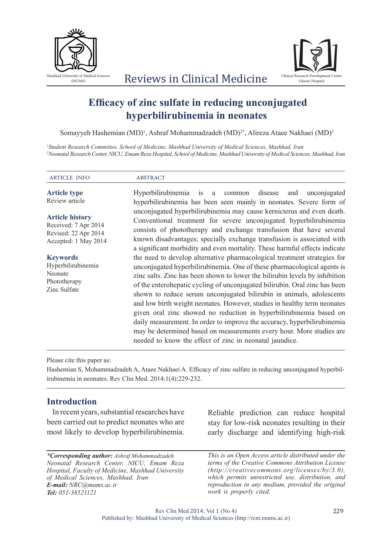



# **Efficacy of zinc sulfate in reducing unconjugated hyperbilirubinemia in neonates**

Somayyeh Hashemian (MD)<sup>1</sup>, Ashraf Mohammadzadeh (MD)<sup>2\*</sup>, Alireza Ataee Nakhaei (MD)<sup>2</sup>

*1 Student Research Committee, School of Medicine, Mashhad University of Medical Sciences, Mashhad, Iran 2 Neonatal Research Center, NICU, Emam Reza Hospital, School of Medicine, Mashhad University of Medical Sciences, Mashhad, Iran*

ARTICLE INFO ABSTRACT **Article type**  Review article **Article history** Received: 7 Apr 2014 Revised: 22 Apr 2014 Accepted: 1 May 2014 **Keywords** Hyperbilirubinemia Neonate Phototherapy Zinc Sulfate Hyperbilirubinemia is a common disease and unconjugated hyperbilirubinemia has been seen mainly in neonates. Severe form of unconjugated hyperbilirubinemia may cause kernicterus and even death. Conventional treatment for severe unconjugated hyperbilirubinemia consists of phototherapy and exchange transfusion that have several known disadvantages; specially exchange transfusion is associated with a significant morbidity and even mortality. These harmful effects indicate the need to develop alternative pharmacological treatment strategies for unconjugated hyperbilirubinemia. One of these pharmacological agents is zinc salts. Zinc has been shown to lower the bilirubin levels by inhibition of the enterohepatic cycling of unconjugated bilirubin. Oral zinc has been shown to reduce serum unconjugated bilirubin in animals, adolescents and low birth weight neonates. However, studies in healthy term neonates given oral zinc showed no reduction in hyperbilirubinemia based on daily measurement. In order to improve the accuracy, hyperbilirubinemia may be determined based on measurements every hour. More studies are needed to know the effect of zinc in neonatal jaundice.

Please cite this paper as:

Hashemian S, Mohammadzadeh A, Ataee Nakhaei A. Efficacy of zinc sulfate in reducing unconjugated hyperbilirubinemia in neonates. Rev Clin Med. 2014;1(4):229-232.

## **Introduction**

In recent years, substantial researches have been carried out to predict neonates who are most likely to develop hyperbilirubinemia.

*\*Corresponding author: Ashraf Mohammadzadeh. Neonatal Research Center, NICU, Emam Reza Hospital, Faculty of Medicine, Mashhad University of Medical Sciences, Mashhad, Iran E-mail: NRC@mums.ac.ir Tel: 051-38521121*

Reliable prediction can reduce hospital stay for low-risk neonates resulting in their early discharge and identifying high-risk

*This is an Open Access article distributed under the terms of the Creative Commons Attribution License (http://creativecommons.org/licenses/by/3.0), which permits unrestricted use, distribution, and reproduction in any medium, provided the original work is properly cited.*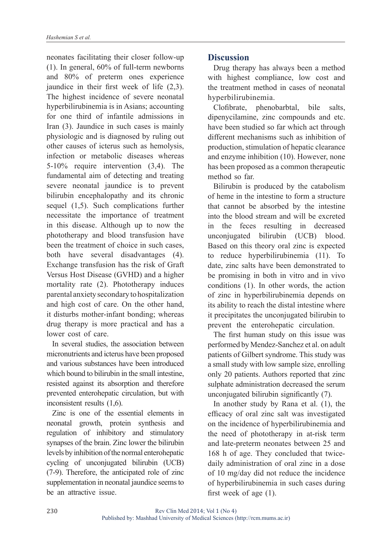neonates facilitating their closer follow-up (1). In general, 60% of full-term newborns and 80% of preterm ones experience jaundice in their first week of life (2,3). The highest incidence of severe neonatal hyperbilirubinemia is in Asians; accounting for one third of infantile admissions in Iran (3). Jaundice in such cases is mainly physiologic and is diagnosed by ruling out other causes of icterus such as hemolysis, infection or metabolic diseases whereas 5-10% require intervention (3,4). The fundamental aim of detecting and treating severe neonatal jaundice is to prevent bilirubin encephalopathy and its chronic sequel (1,5). Such complications further necessitate the importance of treatment in this disease. Although up to now the phototherapy and blood transfusion have been the treatment of choice in such cases, both have several disadvantages (4). Exchange transfusion has the risk of Graft Versus Host Disease (GVHD) and a higher mortality rate (2). Phototherapy induces parental anxiety secondary to hospitalization and high cost of care. On the other hand, it disturbs mother-infant bonding; whereas drug therapy is more practical and has a lower cost of care.

In several studies, the association between micronutrients and icterus have been proposed and various substances have been introduced which bound to bilirubin in the small intestine. resisted against its absorption and therefore prevented enterohepatic circulation, but with inconsistent results (1,6).

Zinc is one of the essential elements in neonatal growth, protein synthesis and regulation of inhibitory and stimulatory synapses of the brain. Zinc lower the bilirubin levels by inhibition of the normal enterohepatic cycling of unconjugated bilirubin (UCB) (7-9). Therefore, the anticipated role of zinc supplementation in neonatal jaundice seems to be an attractive issue.

# **Discussion**

Drug therapy has always been a method with highest compliance, low cost and the treatment method in cases of neonatal hyperbilirubinemia.

Clofibrate, phenobarbtal, bile salts, dipenycilamine, zinc compounds and etc. have been studied so far which act through different mechanisms such as inhibition of production, stimulation of hepatic clearance and enzyme inhibition (10). However, none has been proposed as a common therapeutic method so far.

Bilirubin is produced by the catabolism of heme in the intestine to form a structure that cannot be absorbed by the intestine into the blood stream and will be excreted in the feces resulting in decreased unconjugated bilirubin (UCB) blood. Based on this theory oral zinc is expected to reduce hyperbilirubinemia (11). To date, zinc salts have been demonstrated to be promising in both in vitro and in vivo conditions (1). In other words, the action of zinc in hyperbilirubinemia depends on its ability to reach the distal intestine where it precipitates the unconjugated bilirubin to prevent the enterohepatic circulation.

The first human study on this issue was performed by Mendez-Sanchez et al. on adult patients of Gilbert syndrome. This study was a small study with low sample size, enrolling only 20 patients. Authors reported that zinc sulphate administration decreased the serum unconjugated bilirubin significantly (7).

In another study by Rana et al. (1), the efficacy of oral zinc salt was investigated on the incidence of hyperbilirubinemia and the need of phototherapy in at-risk term and late-preterm neonates between 25 and 168 h of age. They concluded that twicedaily administration of oral zinc in a dose of 10 mg/day did not reduce the incidence of hyperbilirubinemia in such cases during first week of age (1).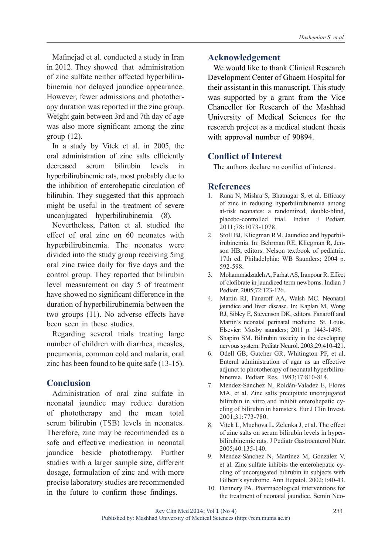Mafinejad et al. conducted a study in Iran in 2012. They showed that administration of zinc sulfate neither affected hyperbilirubinemia nor delayed jaundice appearance. However, fewer admissions and phototherapy duration was reported in the zinc group. Weight gain between 3rd and 7th day of age was also more significant among the zinc group (12).

In a study by Vitek et al. in 2005, the oral administration of zinc salts efficiently decreased serum bilirubin levels in hyperbilirubinemic rats, most probably due to the inhibition of enterohepatic circulation of bilirubin. They suggested that this approach might be useful in the treatment of severe unconjugated hyperbilirubinemia (8).

Nevertheless, Patton et al. studied the effect of oral zinc on 60 neonates with hyperbilirubinemia. The neonates were divided into the study group receiving 5mg oral zinc twice daily for five days and the control group. They reported that bilirubin level measurement on day 5 of treatment have showed no significant difference in the duration of hyperbilirubinemia between the two groups (11). No adverse effects have been seen in these studies.

Regarding several trials treating large number of children with diarrhea, measles, pneumonia, common cold and malaria, oral zinc has been found to be quite safe (13-15).

## **Conclusion**

Administration of oral zinc sulfate in neonatal jaundice may reduce duration of phototherapy and the mean total serum bilirubin (TSB) levels in neonates. Therefore, zinc may be recommended as a safe and effective medication in neonatal jaundice beside phototherapy. Further studies with a larger sample size, different dosage, formulation of zinc and with more precise laboratory studies are recommended in the future to confirm these findings.

#### **Acknowledgement**

We would like to thank Clinical Research Development Center of Ghaem Hospital for their assistant in this manuscript. This study was supported by a grant from the Vice Chancellor for Research of the Mashhad University of Medical Sciences for the research project as a medical student thesis with approval number of 90894.

## **Conflict of Interest**

The authors declare no conflict of interest.

#### **References**

- 1. Rana N, Mishra S, Bhatnagar S, et al. Efficacy of zinc in reducing hyperbilirubinemia among at-risk neonates: a randomized, double-blind, placebo-controlled trial. Indian J Pediatr. 2011;78:1073-1078.
- 2. Stoll BJ, Kliegman RM. Jaundice and hyperbilirubinemia. In: Behrman RE, Kliegman R, Jenson HB, editors. Nelson textbook of pediatric. 17th ed. Philadelphia: WB Saunders; 2004 p. 592-598.
- 3. Mohammadzadeh A, Farhat AS, Iranpour R. Effect of clofibrate in jaundiced term newborns. Indian J Pediatr. 2005;72:123-126.
- 4. Martin RJ, Fanaroff AA, Walsh MC. Neonatal jaundice and liver disease. In: Kaplan M, Wong RJ, Sibley E, Stevenson DK, editors. Fanaroff and Martin's neonatal perinatal medicine. St. Louis. Elsevier: Mosby saunders; 2011 p. 1443-1496.
- 5. Shapiro SM. Bilirubin toxicity in the developing nervous system. Pediatr Neurol. 2003;29:410-421.
- 6. Odell GB, Gutcher GR, Whitington PF, et al. Enteral administration of agar as an effective adjunct to phototherapy of neonatal hyperbilirubinemia. Pediatr Res. 1983;17:810-814.
- 7. Méndez-Sánchez N, Roldán-Valadez E, Flores MA, et al. Zinc salts precipitate unconjugated bilirubin in vitro and inhibit enterohepatic cycling of bilirubin in hamsters. Eur J Clin Invest. 2001;31:773-780.
- 8. Vitek L, Muchova L, Zelenka J, et al. The effect of zinc salts on serum bilirubin levels in hyperbilirubinemic rats. J Pediatr Gastroenterol Nutr. 2005;40:135-140.
- 9. Méndez-Sánchez N, Martínez M, González V, et al. Zinc sulfate inhibits the enterohepatic cycling of unconjugated bilirubin in subjects with Gilbert's syndrome. Ann Hepatol. 2002;1:40-43.
- 10. Dennery PA. Pharmacological interventions for the treatment of neonatal jaundice. Semin Neo-